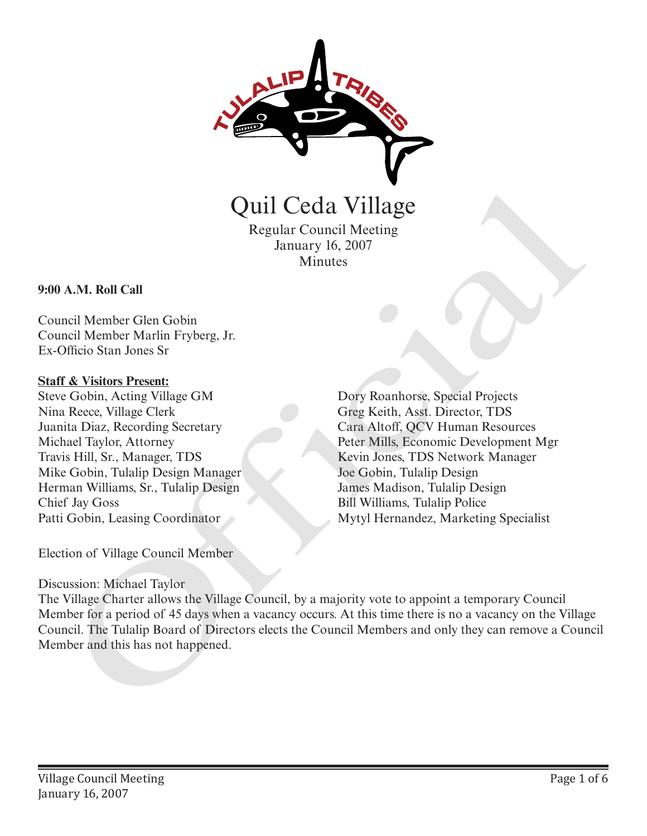

Quil Ceda Village Regular Council Meeting January 16, 2007

Minutes

### **9:00 A.M. Roll Call**

Council Member Glen Gobin Council Member Marlin Fryberg, Jr. Ex-Officio Stan Jones Sr

#### **Staff & Visitors Present:**

Steve Gobin, Acting Village GM Nina Reece, Village Clerk Juanita Diaz, Recording Secretary Michael Taylor, Attorney Travis Hill, Sr., Manager, TDS Mike Gobin, Tulalip Design Manager Herman Williams, Sr., Tulalip Design Chief Jay Goss Patti Gobin, Leasing Coordinator

Dory Roanhorse, Special Projects Greg Keith, Asst. Director, TDS Cara Altoff, QCV Human Resources Peter Mills, Economic Development Mgr Kevin Jones, TDS Network Manager Joe Gobin, Tulalip Design James Madison, Tulalip Design Bill Williams, Tulalip Police Mytyl Hernandez, Marketing Specialist

Election of Village Council Member

### Discussion: Michael Taylor

The Village Charter allows the Village Council, by a majority vote to appoint a temporary Council Member for a period of 45 days when a vacancy occurs. At this time there is no a vacancy on the Village Council. The Tulalip Board of Directors elects the Council Members and only they can remove a Council **CHIT CCCLA VIII ARGEST (1988)**<br>
Minutes January 16, 2007<br>
Minutes<br>
2000 A.M. Roll Call<br>
Council Member Glen Gobin<br>
Council Member Aletin Fryberg, Jr.<br>
Ex-Olitico Stan Jones Sr<br>
Excel Glen Action (The Section Action State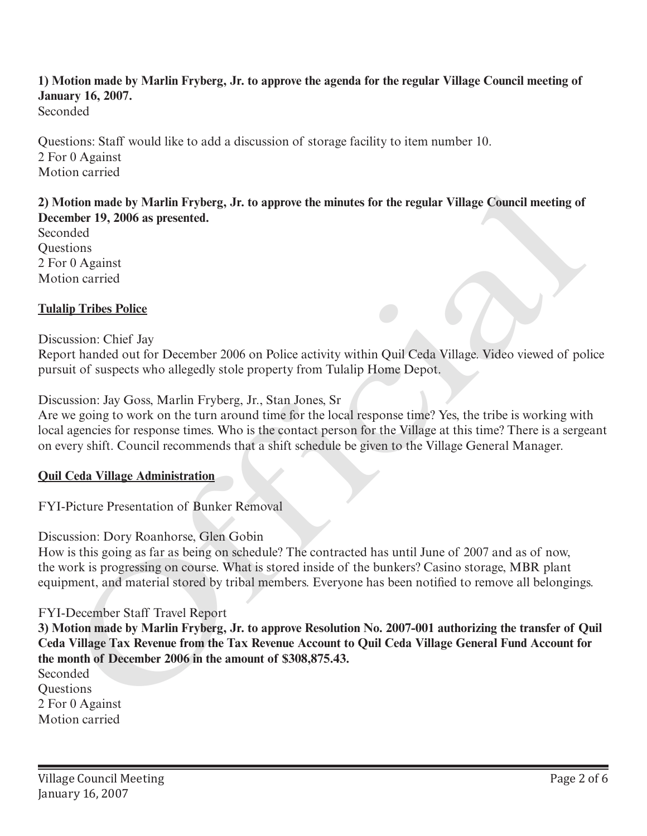#### **1) Motion made by Marlin Fryberg, Jr. to approve the agenda for the regular Village Council meeting of January 16, 2007.** Seconded

Questions: Staff would like to add a discussion of storage facility to item number 10. 2 For 0 Against Motion carried

#### **2) Motion made by Marlin Fryberg, Jr. to approve the minutes for the regular Village Council meeting of December 19, 2006 as presented.**

Seconded **Ouestions** 2 For 0 Against Motion carried

# **Tulalip Tribes Police**

# Discussion: Chief Jay

Report handed out for December 2006 on Police activity within Quil Ceda Village. Video viewed of police pursuit of suspects who allegedly stole property from Tulalip Home Depot.

Discussion: Jay Goss, Marlin Fryberg, Jr., Stan Jones, Sr

Are we going to work on the turn around time for the local response time? Yes, the tribe is working with local agencies for response times. Who is the contact person for the Village at this time? There is a sergeant on every shift. Council recommends that a shift schedule be given to the Village General Manager.

# **Quil Ceda Village Administration**

FYI-Picture Presentation of Bunker Removal

# Discussion: Dory Roanhorse, Glen Gobin

How is this going as far as being on schedule? The contracted has until June of 2007 and as of now, the work is progressing on course. What is stored inside of the bunkers? Casino storage, MBR plant equipment, and material stored by tribal members. Everyone has been notified to remove all belongings. otion made by Marlin Fryberg, Jr. to approve the minutes for the regular Village Council meeting of<br>mber 19, 2006 as presented.<br>
informations<br>
included out for 1 Angainst<br>
information carried<br>
in Tribused out for December

# FYI-December Staff Travel Report

**3) Motion made by Marlin Fryberg, Jr. to approve Resolution No. 2007-001 authorizing the transfer of Quil Ceda Village Tax Revenue from the Tax Revenue Account to Quil Ceda Village General Fund Account for the month of December 2006 in the amount of \$308,875.43.**

Seconded **Ouestions** 2 For 0 Against Motion carried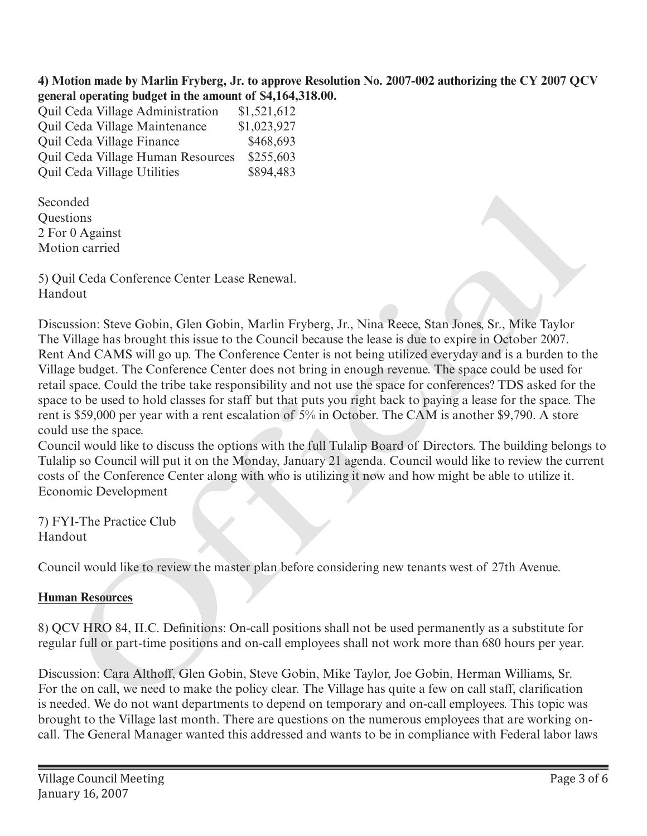**4) Motion made by Marlin Fryberg, Jr. to approve Resolution No. 2007-002 authorizing the CY 2007 QCV general operating budget in the amount of \$4,164,318.00.**

|  | Quil Ceda Village Administration  | \$1,521,612 |
|--|-----------------------------------|-------------|
|  | Quil Ceda Village Maintenance     | \$1,023,927 |
|  | Quil Ceda Village Finance         | \$468,693   |
|  | Quil Ceda Village Human Resources | \$255,603   |
|  | Quil Ceda Village Utilities       | \$894,483   |
|  |                                   |             |

Seconded **Ouestions** 2 For 0 Against Motion carried

5) Quil Ceda Conference Center Lease Renewal. Handout

Discussion: Steve Gobin, Glen Gobin, Marlin Fryberg, Jr., Nina Reece, Stan Jones, Sr., Mike Taylor The Village has brought this issue to the Council because the lease is due to expire in October 2007. Rent And CAMS will go up. The Conference Center is not being utilized everyday and is a burden to the Village budget. The Conference Center does not bring in enough revenue. The space could be used for retail space. Could the tribe take responsibility and not use the space for conferences? TDS asked for the space to be used to hold classes for staff but that puts you right back to paying a lease for the space. The rent is \$59,000 per year with a rent escalation of 5% in October. The CAM is another \$9,790. A store could use the space. moded<br>
into a<br>
carried conference Center Lease Renewal.<br>
Don carried<br>
conference Center Lease Renewal.<br>
Election carried<br>
States in the Conference Center Lease Renewal.<br>
And CAMS will go up. The Conference Center does not

Council would like to discuss the options with the full Tulalip Board of Directors. The building belongs to Tulalip so Council will put it on the Monday, January 21 agenda. Council would like to review the current costs of the Conference Center along with who is utilizing it now and how might be able to utilize it. Economic Development

7) FYI-The Practice Club Handout

Council would like to review the master plan before considering new tenants west of 27th Avenue.

# **Human Resources**

8) QCV HRO 84, II.C. Definitions: On-call positions shall not be used permanently as a substitute for regular full or part-time positions and on-call employees shall not work more than 680 hours per year.

Discussion: Cara Althoff, Glen Gobin, Steve Gobin, Mike Taylor, Joe Gobin, Herman Williams, Sr. For the on call, we need to make the policy clear. The Village has quite a few on call staff, clarification is needed. We do not want departments to depend on temporary and on-call employees. This topic was brought to the Village last month. There are questions on the numerous employees that are working oncall. The General Manager wanted this addressed and wants to be in compliance with Federal labor laws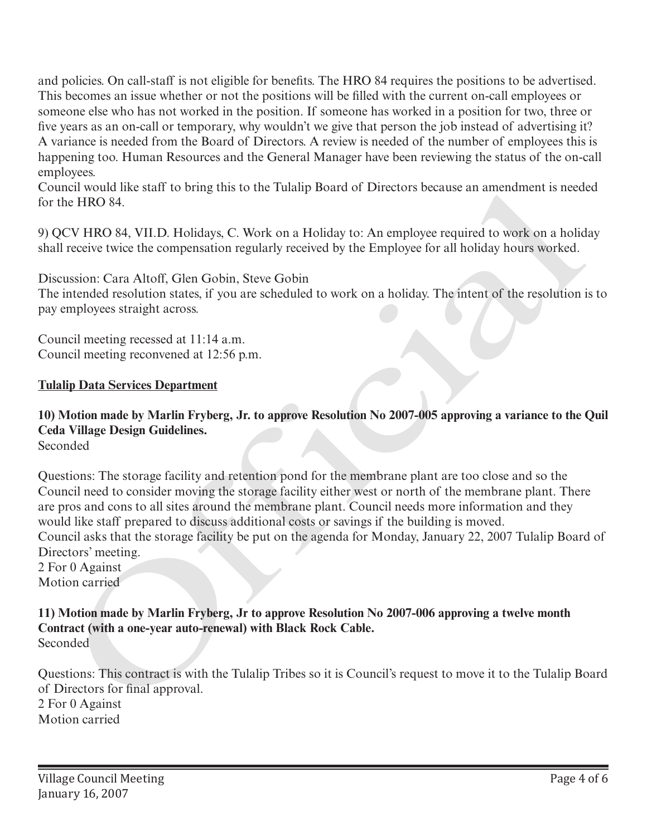and policies. On call-staff is not eligible for benefits. The HRO 84 requires the positions to be advertised. This becomes an issue whether or not the positions will be filled with the current on-call employees or someone else who has not worked in the position. If someone has worked in a position for two, three or five years as an on-call or temporary, why wouldn't we give that person the job instead of advertising it? A variance is needed from the Board of Directors. A review is needed of the number of employees this is happening too. Human Resources and the General Manager have been reviewing the status of the on-call employees.

Council would like staff to bring this to the Tulalip Board of Directors because an amendment is needed for the HRO 84.

9) QCV HRO 84, VII.D. Holidays, C. Work on a Holiday to: An employee required to work on a holiday shall receive twice the compensation regularly received by the Employee for all holiday hours worked.

Discussion: Cara Altoff, Glen Gobin, Steve Gobin

The intended resolution states, if you are scheduled to work on a holiday. The intent of the resolution is to pay employees straight across.

Council meeting recessed at 11:14 a.m. Council meeting reconvened at 12:56 p.m.

## **Tulalip Data Services Department**

#### **10) Motion made by Marlin Fryberg, Jr. to approve Resolution No 2007-005 approving a variance to the Quil Ceda Village Design Guidelines. Seconded**

Questions: The storage facility and retention pond for the membrane plant are too close and so the Council need to consider moving the storage facility either west or north of the membrane plant. There are pros and cons to all sites around the membrane plant. Council needs more information and they would like staff prepared to discuss additional costs or savings if the building is moved. Council asks that the storage facility be put on the agenda for Monday, January 22, 2007 Tulalip Board of Directors' meeting. 2 For 0 Against Motion carried nell would line start to bring this to the Tutalip Board of Directors because an amendment is need<br>to ERO 84, VILD. Holidays, C. Work on a Holiday to: An employee required to work on a holid<br>receive twice the compensation

#### **11) Motion made by Marlin Fryberg, Jr to approve Resolution No 2007-006 approving a twelve month Contract (with a one-year auto-renewal) with Black Rock Cable.** Seconded

Questions: This contract is with the Tulalip Tribes so it is Council's request to move it to the Tulalip Board of Directors for final approval. 2 For 0 Against Motion carried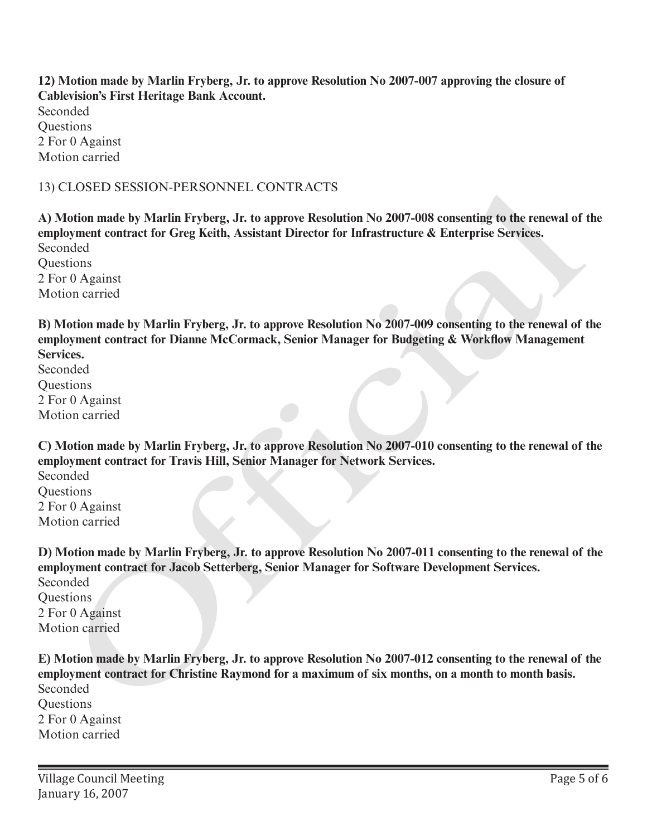**12) Motion made by Marlin Fryberg, Jr. to approve Resolution No 2007-007 approving the closure of Cablevision's First Heritage Bank Account.** Seconded **Ouestions** 2 For 0 Against Motion carried

#### 13) CLOSED SESSION-PERSONNEL CONTRACTS

**A) Motion made by Marlin Fryberg, Jr. to approve Resolution No 2007-008 consenting to the renewal of the employment contract for Greg Keith, Assistant Director for Infrastructure & Enterprise Services.** Seconded **Ouestions** 2 For 0 Against Motion carried .1.OSE1D SESSION-PERSOIN NEL CONTRACTS<br>Iofon made by Marlin Fryberg, Jr. to approve Resolution No 2007-008 consenting to the renewal of<br>lotion made by Marlin Fryberg, Jr. to approve Resolution No 2007-008 consenting to the

**B) Motion made by Marlin Fryberg, Jr. to approve Resolution No 2007-009 consenting to the renewal of the employment contract for Dianne McCormack, Senior Manager for Budgeting & Workflow Management Services.**

Seconded Questions 2 For 0 Against Motion carried

**C) Motion made by Marlin Fryberg, Jr. to approve Resolution No 2007-010 consenting to the renewal of the employment contract for Travis Hill, Senior Manager for Network Services.**

Seconded **Ouestions** 2 For 0 Against Motion carried

**D) Motion made by Marlin Fryberg, Jr. to approve Resolution No 2007-011 consenting to the renewal of the employment contract for Jacob Setterberg, Senior Manager for Software Development Services.**

Seconded **Ouestions** 2 For 0 Against Motion carried

**E) Motion made by Marlin Fryberg, Jr. to approve Resolution No 2007-012 consenting to the renewal of the employment contract for Christine Raymond for a maximum of six months, on a month to month basis.** Seconded **Ouestions** 

2 For 0 Against Motion carried